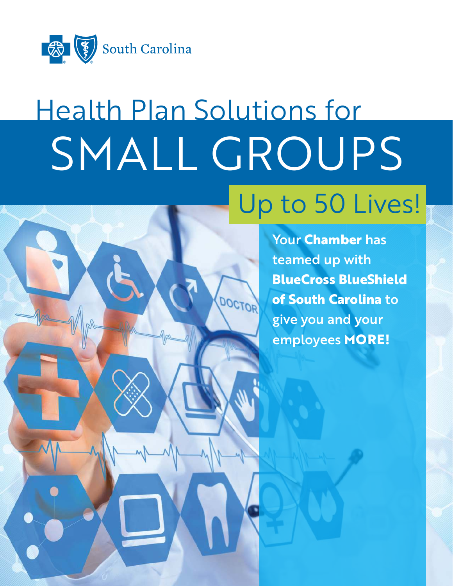

# Health Plan Solutions for SMALL GROUPS Up to 50 Lives!



Your **Chamber** has teamed up with **BlueCross BlueShield of South Carolina** to give you and your employees **MORE!**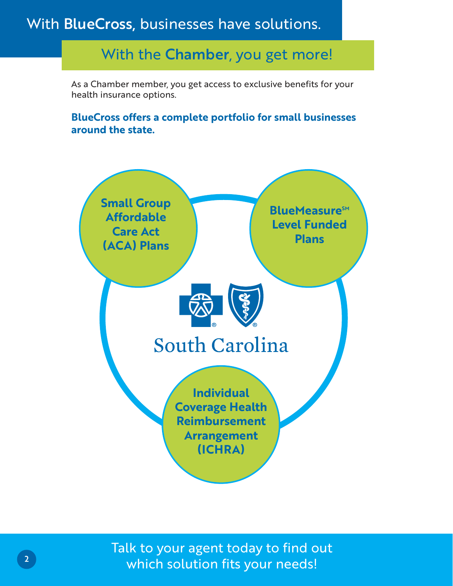### With BlueCross, businesses have solutions.

### With the Chamber, you get more!

As a Chamber member, you get access to exclusive benefits for your health insurance options.

#### **BlueCross offers a complete portfolio for small businesses around the state.**



Talk to your agent today to find out which solution fits your needs!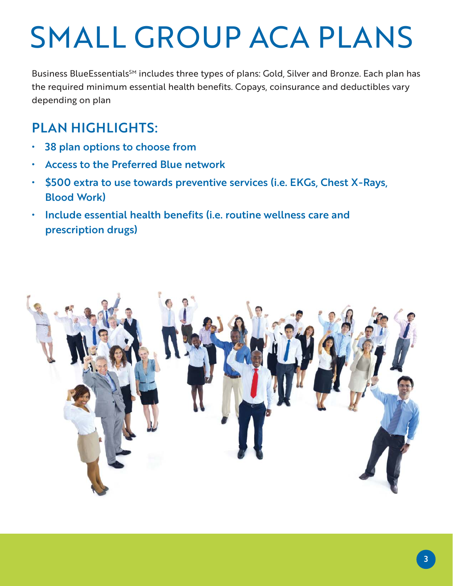## SMALL GROUP ACA PLANS

Business BlueEssentials<sup>SM</sup> includes three types of plans: Gold, Silver and Bronze. Each plan has the required minimum essential health benefits. Copays, coinsurance and deductibles vary depending on plan

### PLAN HIGHLIGHTS:

- 38 plan options to choose from
- Access to the Preferred Blue network
- \$500 extra to use towards preventive services (i.e. EKGs, Chest X-Rays, Blood Work)
- Include essential health benefits (i.e. routine wellness care and prescription drugs)

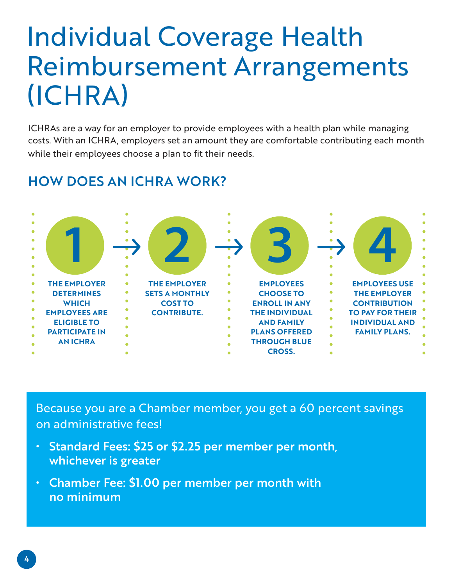### Individual Coverage Health Reimbursement Arrangements (ICHRA)

ICHRAs are a way for an employer to provide employees with a health plan while managing costs. With an ICHRA, employers set an amount they are comfortable contributing each month while their employees choose a plan to fit their needs.

#### $1 \overset{.}{\rightarrow} 2 \overset{.}{\rightarrow} 3 \overset{.}{\rightarrow} 4$ **THE EMPLOYER DETERMINES WHICH EMPLOYEES ARE ELIGIBLE TO PARTICIPATE IN AN ICHRA THE EMPLOYER SETS A MONTHLY COST TO CONTRIBUTE. EMPLOYEES CHOOSE TO ENROLL IN ANY THE INDIVIDUAL AND FAMILY PLANS OFFERED THROUGH BLUE CROSS. EMPLOYEES USE THE EMPLOYER CONTRIBUTION TO PAY FOR THEIR INDIVIDUAL AND FAMILY PLANS.**

### HOW DOES AN ICHRA WORK?

Because you are a Chamber member, you get a 60 percent savings on administrative fees!

- Standard Fees: \$25 or \$2.25 per member per month, whichever is greater
- Chamber Fee: \$1.00 per member per month with no minimum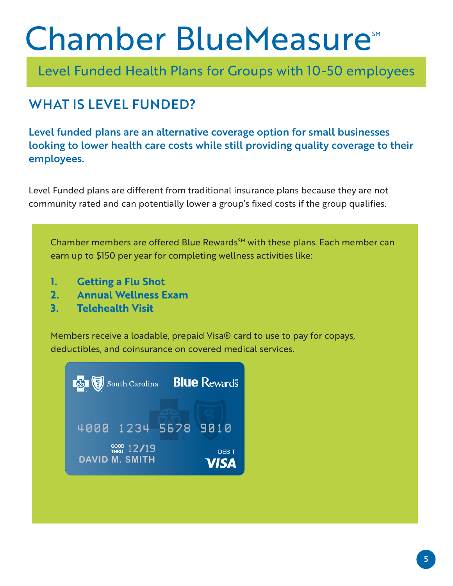## Chamber BlueMeasure<sup>SM</sup>

Level Funded Health Plans for Groups with 10-50 employees

### WHAT IS LEVEL FUNDED?

Level funded plans are an alternative coverage option for small businesses looking to lower health care costs while still providing quality coverage to their employees.

Level Funded plans are different from traditional insurance plans because they are not community rated and can potentially lower a group's fixed costs if the group qualifies.

Chamber members are offered Blue Rewards<sup>SM</sup> with these plans. Each member can earn up to \$150 per year for completing wellness activities like:

- **1. Getting a Flu Shot**
- **2. Annual Wellness Exam**
- **3. Telehealth Visit**

Members receive a loadable, prepaid Visa® card to use to pay for copays, deductibles, and coinsurance on covered medical services.

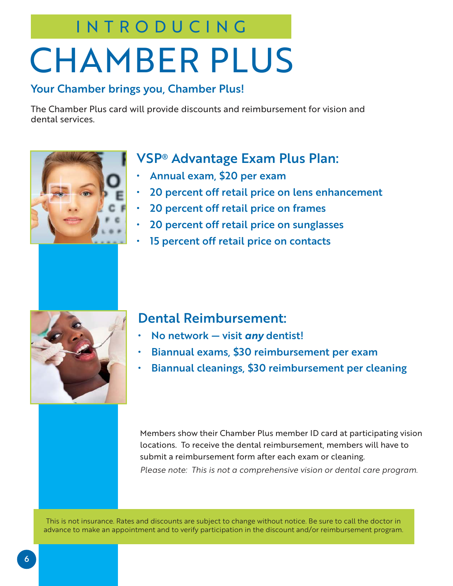### INTRODUCING

# CHAMBER PLUS

#### Your Chamber brings you, Chamber Plus!

The Chamber Plus card will provide discounts and reimbursement for vision and dental services.



### VSP® Advantage Exam Plus Plan:

- Annual exam, \$20 per exam
- 20 percent off retail price on lens enhancement
- 20 percent off retail price on frames
- 20 percent off retail price on sunglasses
- 15 percent off retail price on contacts



#### Dental Reimbursement:

- No network visit *any* dentist!
- Biannual exams, \$30 reimbursement per exam
- Biannual cleanings, \$30 reimbursement per cleaning

Members show their Chamber Plus member ID card at participating vision locations. To receive the dental reimbursement, members will have to submit a reimbursement form after each exam or cleaning. *Please note: This is not a comprehensive vision or dental care program.*

This is not insurance. Rates and discounts are subject to change without notice. Be sure to call the doctor in advance to make an appointment and to verify participation in the discount and/or reimbursement program.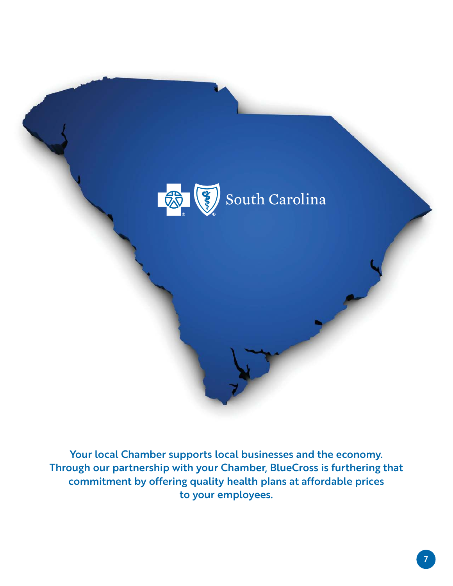

Your local Chamber supports local businesses and the economy. Through our partnership with your Chamber, BlueCross is furthering that commitment by offering quality health plans at affordable prices to your employees.